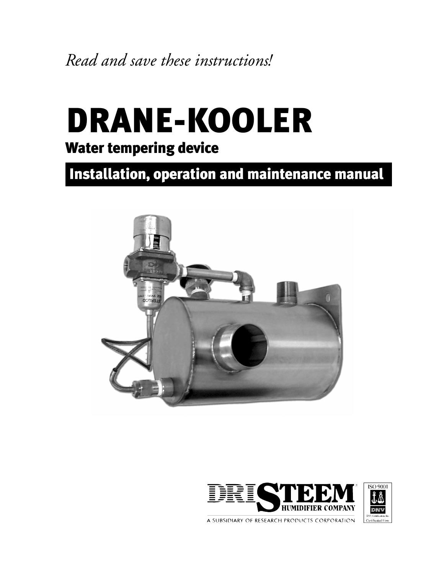*Read and save these instructions!*

# DRANE-KOOLER

### Water tempering device

Installation, operation and maintenance manual





A SUBSIDIARY OF RESEARCH PRODUCTS CORPORATION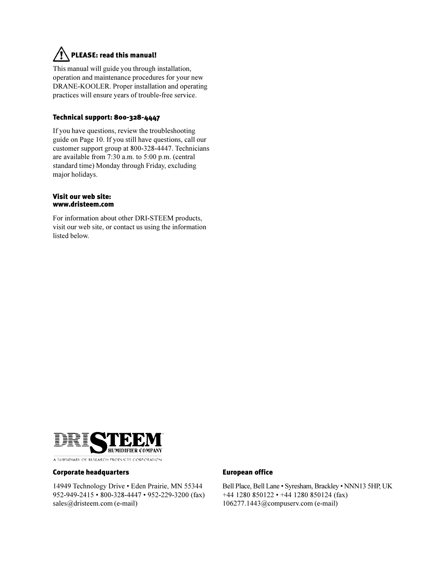### PLEASE: read this manual!

This manual will guide you through installation, operation and maintenance procedures for your new DRANE-KOOLER. Proper installation and operating practices will ensure years of trouble-free service.

### Technical support: 800-328-4447

If you have questions, review the troubleshooting guide on Page 10. If you still have questions, call our customer support group at 800-328-4447. Technicians are available from 7:30 a.m. to 5:00 p.m. (central standard time) Monday through Friday, excluding major holidays.

#### Visit our web site: www.dristeem.com

For information about other DRI-STEEM products, visit our web site, or contact us using the information listed below.



#### Corporate headquarters

14949 Technology Drive · Eden Prairie, MN 55344 952-949-2415 • 800-328-4447 • 952-229-3200 (fax) sales@dristeem.com (e-mail)

#### European office

Bell Place, Bell Lane · Syresham, Brackley · NNN13 5HP, UK  $+44$  1280 850122 •  $+44$  1280 850124 (fax) 106277.1443@compuserv.com (e-mail)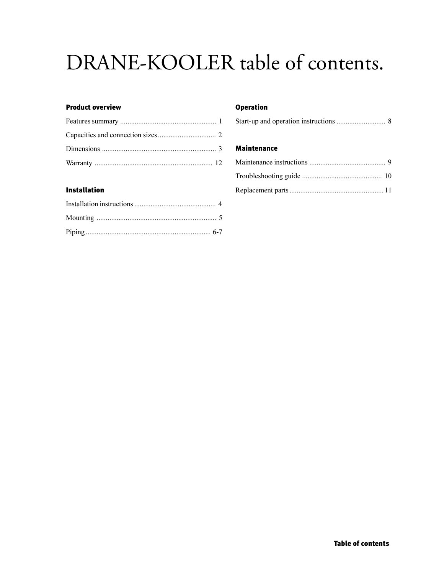### DRANE-KOOLER table of contents.

### **Product overview**

### **Installation**

### **Operation**

|--|--|--|--|

#### **Maintenance**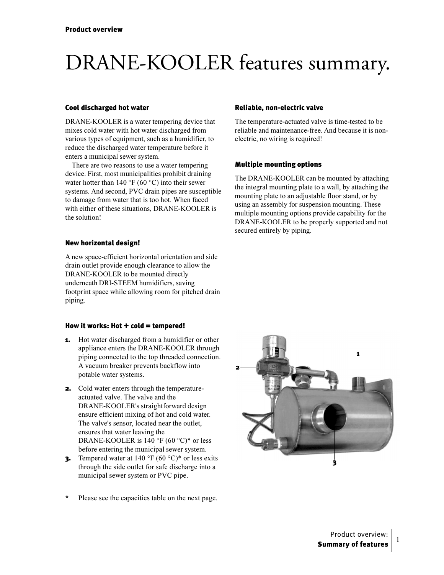### DRANE-KOOLER features summary.

#### Cool discharged hot water

DRANE-KOOLER is a water tempering device that mixes cold water with hot water discharged from various types of equipment, such as a humidifier, to reduce the discharged water temperature before it enters a municipal sewer system.

There are two reasons to use a water tempering device. First, most municipalities prohibit draining water hotter than  $140^{\circ}$ F (60 °C) into their sewer systems. And second, PVC drain pipes are susceptible to damage from water that is too hot. When faced with either of these situations, DRANE-KOOLER is the solution!

#### New horizontal design!

A new space-efficient horizontal orientation and side drain outlet provide enough clearance to allow the DRANE-KOOLER to be mounted directly underneath DRI-STEEM humidifiers, saving footprint space while allowing room for pitched drain piping.

#### How it works: Hot  $+$  cold  $=$  tempered!

- **1.** Hot water discharged from a humidifier or other appliance enters the DRANE-KOOLER through piping connected to the top threaded connection. A vacuum breaker prevents backflow into potable water systems.
- 2. Cold water enters through the temperatureactuated valve. The valve and the DRANE-KOOLER's straightforward design ensure efficient mixing of hot and cold water. The valve's sensor, located near the outlet, ensures that water leaving the DRANE-KOOLER is 140 °F (60 °C)\* or less before entering the municipal sewer system.
- **3.** Tempered water at  $140 \degree$ F  $(60 \degree C)^*$  or less exits through the side outlet for safe discharge into a municipal sewer system or PVC pipe.
- \* Please see the capacities table on the next page.

### Reliable, non-electric valve

The temperature-actuated valve is time-tested to be reliable and maintenance-free. And because it is nonelectric, no wiring is required!

### Multiple mounting options

The DRANE-KOOLER can be mounted by attaching the integral mounting plate to a wall, by attaching the mounting plate to an adjustable floor stand, or by using an assembly for suspension mounting. These multiple mounting options provide capability for the DRANE-KOOLER to be properly supported and not secured entirely by piping.



 $\mathbf 1$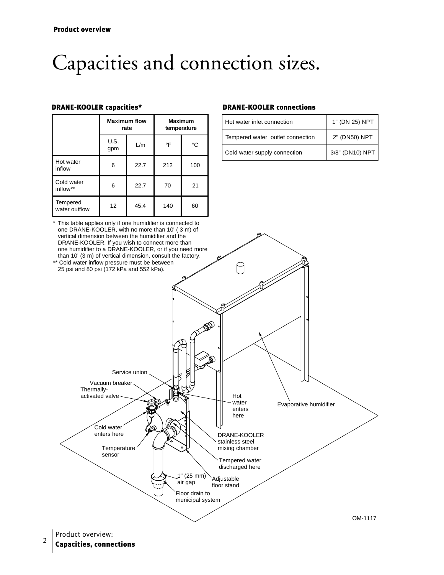### Capacities and connection sizes.

|                           | <b>Maximum flow</b><br>rate |      | <b>Maximum</b><br>temperature |     |
|---------------------------|-----------------------------|------|-------------------------------|-----|
|                           | U.S.<br>gpm                 | L/m  | °F                            | °C  |
| Hot water<br>inflow       | 6                           | 22.7 | 212                           | 100 |
| Cold water<br>inflow**    | 6                           | 22.7 | 70                            | 21  |
| Tempered<br>water outflow | 12                          | 45.4 | 140                           | 60  |

#### DRANE-KOOLER capacities\* DRANE-KOOLER connections

| Hot water inlet connection       | 1" (DN 25) NPT  |
|----------------------------------|-----------------|
| Tempered water outlet connection | 2" (DN50) NPT   |
| Cold water supply connection     | 3/8" (DN10) NPT |

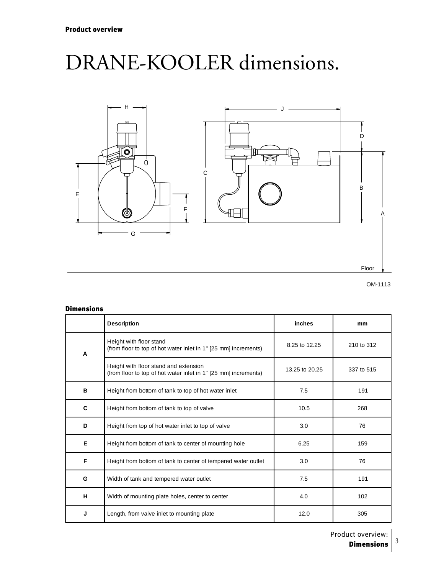### DRANE-KOOLER dimensions.



#### Dimensions

|   | <b>Description</b>                                                                                       | inches         | mm         |
|---|----------------------------------------------------------------------------------------------------------|----------------|------------|
| A | Height with floor stand<br>(from floor to top of hot water inlet in 1" [25 mm] increments)               | 8.25 to 12.25  | 210 to 312 |
|   | Height with floor stand and extension<br>(from floor to top of hot water inlet in 1" [25 mm] increments) | 13.25 to 20.25 | 337 to 515 |
| в | Height from bottom of tank to top of hot water inlet                                                     | 7.5            | 191        |
| C | Height from bottom of tank to top of valve                                                               | 10.5           | 268        |
| D | Height from top of hot water inlet to top of valve                                                       | 3.0            | 76         |
| Е | Height from bottom of tank to center of mounting hole                                                    | 6.25           | 159        |
| F | Height from bottom of tank to center of tempered water outlet                                            | 3.0            | 76         |
| G | Width of tank and tempered water outlet                                                                  | 7.5            | 191        |
| н | Width of mounting plate holes, center to center                                                          | 4.0            | 102        |
| J | Length, from valve inlet to mounting plate                                                               | 12.0           | 305        |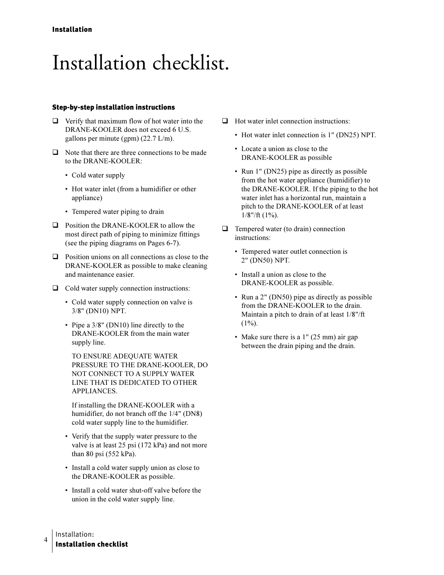### Installation checklist.

#### **Step-by-step installation instructions**

- $\Box$  Verify that maximum flow of hot water into the DRANE-KOOLER does not exceed 6 U.S. gallons per minute (gpm)  $(22.7 \text{ L/m})$ .
- $\Box$  Note that there are three connections to be made to the DRANE-KOOLER:
	- Cold water supply
	- Hot water inlet (from a humidifier or other appliance)
	- Tempered water piping to drain
- $\Box$  Position the DRANE-KOOLER to allow the most direct path of piping to minimize fittings (see the piping diagrams on Pages 6-7).
- $\Box$  Position unions on all connections as close to the DRANE-KOOLER as possible to make cleaning and maintenance easier.
- $\Box$  Cold water supply connection instructions:
	- Cold water supply connection on valve is 3/8" (DN10) NPT.
	- Pipe a  $3/8$ " (DN10) line directly to the DRANE-KOOLER from the main water supply line.

TO ENSURE ADEQUATE WATER PRESSURE TO THE DRANE-KOOLER, DO NOT CONNECT TO A SUPPLY WATER LINE THAT IS DEDICATED TO OTHER **APPLIANCES.** 

If installing the DRANE-KOOLER with a humidifier, do not branch off the 1/4" (DN8) cold water supply line to the humidifier.

- Verify that the supply water pressure to the valve is at least 25 psi (172 kPa) and not more than 80 psi  $(552 \text{ kPa})$ .
- Install a cold water supply union as close to the DRANE-KOOLER as possible.
- Install a cold water shut-off valve before the union in the cold water supply line.
- $\Box$  Hot water inlet connection instructions:
	- Hot water inlet connection is 1" (DN25) NPT.
	- Locate a union as close to the DRANE-KOOLER as possible
	- Run 1" (DN25) pipe as directly as possible from the hot water appliance (humidifier) to the DRANE-KOOLER. If the piping to the hot water inlet has a horizontal run, maintain a pitch to the DRANE-KOOLER of at least  $1/8$ "/ft (1%).
- $\Box$  Tempered water (to drain) connection instructions:
	- Tempered water outlet connection is 2" (DN50) NPT.
	- Install a union as close to the DRANE-KOOLER as possible.
	- Run a 2" (DN50) pipe as directly as possible from the DRANE-KOOLER to the drain. Maintain a pitch to drain of at least 1/8"/ft  $(1\%)$ .
	- Make sure there is a 1" (25 mm) air gap between the drain piping and the drain.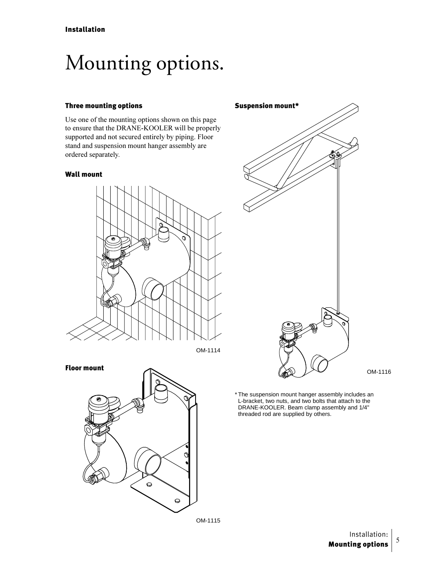### Mounting options.

### Three mounting options

Use one of the mounting options shown on this page to ensure that the DRANE-KOOLER will be properly supported and not secured entirely by piping. Floor stand and suspension mount hanger assembly are ordered separately.

#### Wall mount



OM-1114





OM-1116

\* The suspension mount hanger assembly includes an L-bracket, two nuts, and two bolts that attach to the DRANE-KOOLER. Beam clamp assembly and 1/4" threaded rod are supplied by others.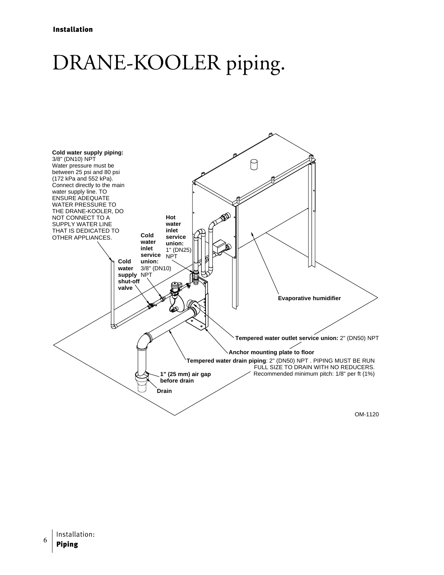### DRANE-KOOLER piping.

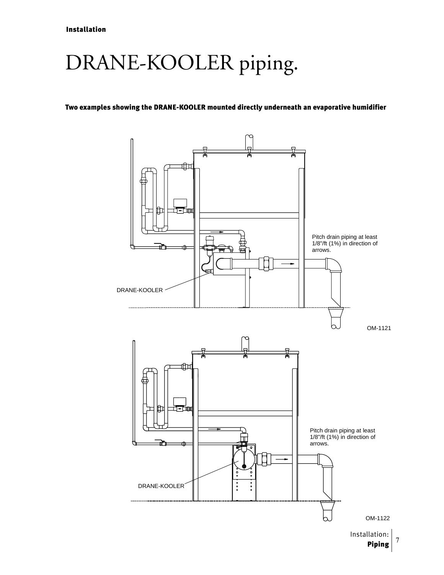### DRANE-KOOLER piping.

### Two examples showing the DRANE-KOOLER mounted directly underneath an evaporative humidifier



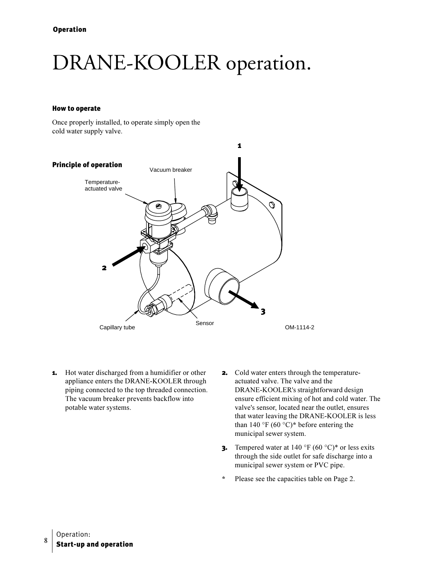### DRANE-KOOLER operation.

#### **How to operate**

Once properly installed, to operate simply open the cold water supply valve.



- **1.** Hot water discharged from a humidifier or other appliance enters the DRANE-KOOLER through piping connected to the top threaded connection. The vacuum breaker prevents backflow into potable water systems.
- **2.** Cold water enters through the temperatureactuated valve. The valve and the DRANE-KOOLER's straightforward design ensure efficient mixing of hot and cold water. The valve's sensor, located near the outlet, ensures that water leaving the DRANE-KOOLER is less than 140 °F (60 °C)<sup>\*</sup> before entering the municipal sewer system.
- **3.** Tempered water at 140 °F  $(60 °C)*$  or less exits through the side outlet for safe discharge into a municipal sewer system or PVC pipe.
- $\star$ Please see the capacities table on Page 2.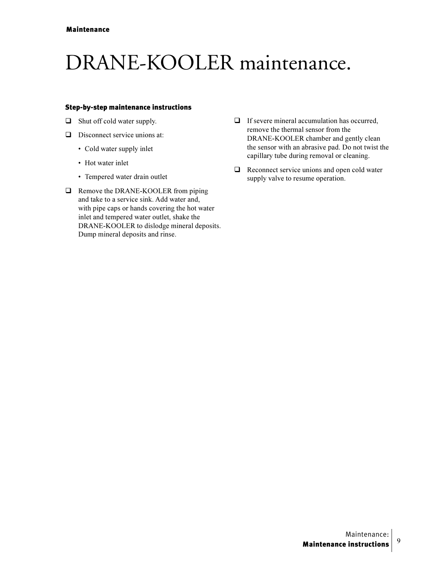### DRANE-KOOLER maintenance.

### **Step-by-step maintenance instructions**

- $\Box$  Shut off cold water supply.
- $\Box$  Disconnect service unions at:
	- Cold water supply inlet
	- Hot water inlet
	- Tempered water drain outlet
- $\Box$  Remove the DRANE-KOOLER from piping and take to a service sink. Add water and, with pipe caps or hands covering the hot water inlet and tempered water outlet, shake the DRANE-KOOLER to dislodge mineral deposits. Dump mineral deposits and rinse.
- $\Box$  If severe mineral accumulation has occurred. remove the thermal sensor from the DRANE-KOOLER chamber and gently clean the sensor with an abrasive pad. Do not twist the capillary tube during removal or cleaning.
- $\Box$  Reconnect service unions and open cold water supply valve to resume operation.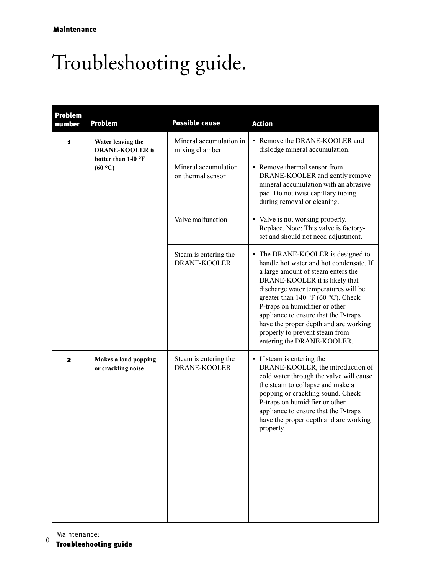## Troubleshooting guide.

| <b>Problem</b><br>number | <b>Problem</b>                                                               | <b>Possible cause</b>                        | <b>Action</b>                                                                                                                                                                                                                                                                                                                                                                                                         |
|--------------------------|------------------------------------------------------------------------------|----------------------------------------------|-----------------------------------------------------------------------------------------------------------------------------------------------------------------------------------------------------------------------------------------------------------------------------------------------------------------------------------------------------------------------------------------------------------------------|
| 1                        | Water leaving the<br><b>DRANE-KOOLER</b> is<br>hotter than 140 °F<br>(60 °C) | Mineral accumulation in<br>mixing chamber    | • Remove the DRANE-KOOLER and<br>dislodge mineral accumulation.                                                                                                                                                                                                                                                                                                                                                       |
|                          |                                                                              | Mineral accumulation<br>on thermal sensor    | • Remove thermal sensor from<br>DRANE-KOOLER and gently remove<br>mineral accumulation with an abrasive<br>pad. Do not twist capillary tubing<br>during removal or cleaning.                                                                                                                                                                                                                                          |
|                          |                                                                              | Valve malfunction                            | • Valve is not working properly.<br>Replace. Note: This valve is factory-<br>set and should not need adjustment.                                                                                                                                                                                                                                                                                                      |
|                          |                                                                              | Steam is entering the<br><b>DRANE-KOOLER</b> | • The DRANE-KOOLER is designed to<br>handle hot water and hot condensate. If<br>a large amount of steam enters the<br>DRANE-KOOLER it is likely that<br>discharge water temperatures will be<br>greater than 140 °F (60 °C). Check<br>P-traps on humidifier or other<br>appliance to ensure that the P-traps<br>have the proper depth and are working<br>properly to prevent steam from<br>entering the DRANE-KOOLER. |
| $\overline{\mathbf{z}}$  | Makes a loud popping<br>or crackling noise                                   | Steam is entering the<br><b>DRANE-KOOLER</b> | • If steam is entering the<br>DRANE-KOOLER, the introduction of<br>cold water through the valve will cause<br>the steam to collapse and make a<br>popping or crackling sound. Check<br>P-traps on humidifier or other<br>appliance to ensure that the P-traps<br>have the proper depth and are working<br>properly.                                                                                                   |

Maintenance:

 $10$ **Troubleshooting guide**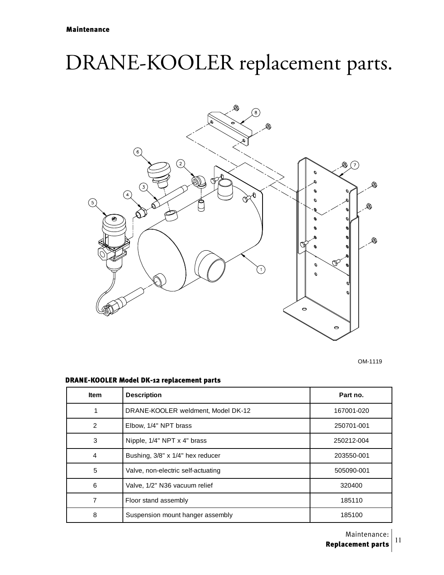### DRANE-KOOLER replacement parts.



OM-1119

### DRANE-KOOLER Model DK-12 replacement parts

| <b>Item</b>    | <b>Description</b>                 | Part no.   |
|----------------|------------------------------------|------------|
|                | DRANE-KOOLER weldment, Model DK-12 | 167001-020 |
| $\overline{2}$ | Elbow, 1/4" NPT brass              | 250701-001 |
| 3              | Nipple, 1/4" NPT x 4" brass        | 250212-004 |
| $\overline{4}$ | Bushing, 3/8" x 1/4" hex reducer   | 203550-001 |
| 5              | Valve, non-electric self-actuating | 505090-001 |
| 6              | Valve, 1/2" N36 vacuum relief      | 320400     |
| 7              | Floor stand assembly               | 185110     |
| 8              | Suspension mount hanger assembly   | 185100     |

Maintenance: Replacement parts

&&